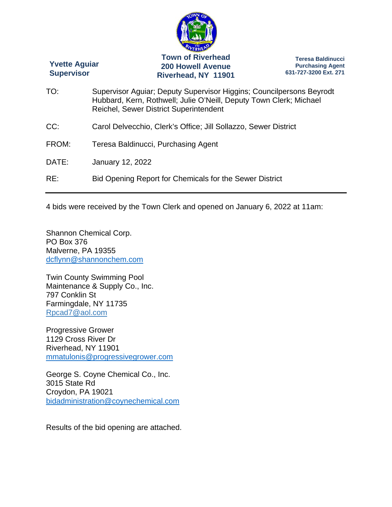

4 bids were received by the Town Clerk and opened on January 6, 2022 at 11am:

Shannon Chemical Corp. PO Box 376 Malverne, PA 19355 dcflynn@shannonchem.com

Twin County Swimming Pool Maintenance & Supply Co., Inc. 797 Conklin St Farmingdale, NY 11735 Rpcad7@aol.com

Progressive Grower 1129 Cross River Dr Riverhead, NY 11901 mmatulonis@progressivegrower.com

George S. Coyne Chemical Co., Inc. 3015 State Rd Croydon, PA 19021 bidadministration@coynechemical.com

Results of the bid opening are attached.